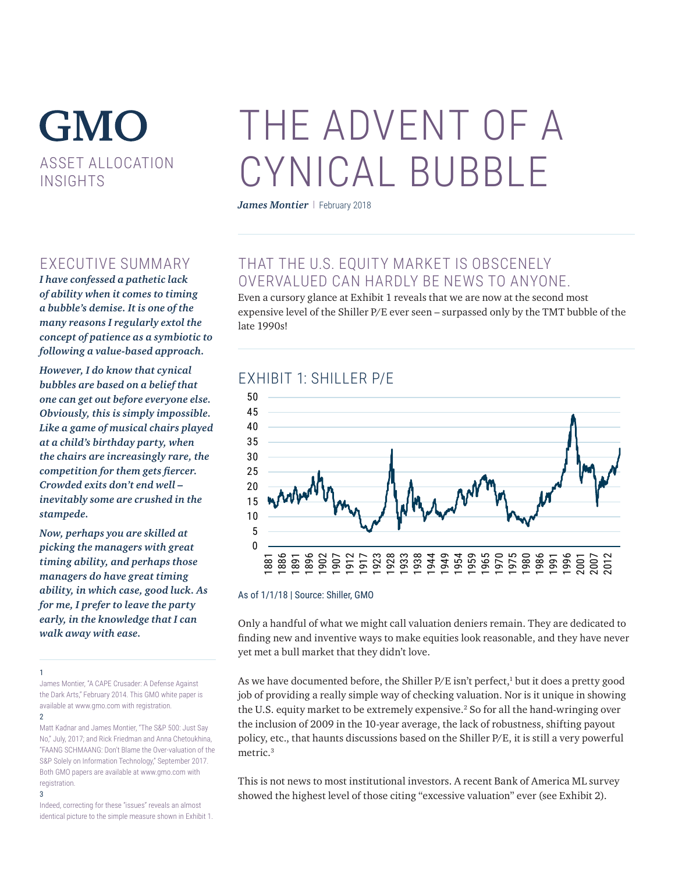# **GMO** ASSET ALLOCATION INSIGHTS

## EXECUTIVE SUMMARY

*I have confessed a pathetic lack of ability when it comes to timing a bubble's demise. It is one of the many reasons I regularly extol the concept of patience as a symbiotic to following a value-based approach.* 

*However, I do know that cynical bubbles are based on a belief that one can get out before everyone else. Obviously, this is simply impossible. Like a game of musical chairs played at a child's birthday party, when the chairs are increasingly rare, the competition for them gets fiercer. Crowded exits don't end well – inevitably some are crushed in the stampede.* 

*Now, perhaps you are skilled at picking the managers with great timing ability, and perhaps those managers do have great timing ability, in which case, good luck. As for me, I prefer to leave the party early, in the knowledge that I can walk away with ease.*

1

James Montier, "A CAPE Crusader: A Defense Against the Dark Arts," February 2014. This GMO white paper is available at www.gmo.com with registration. 2

Matt Kadnar and James Montier, "The S&P 500: Just Say No," July, 2017; and Rick Friedman and Anna Chetoukhina, "FAANG SCHMAANG: Don't Blame the Over-valuation of the S&P Solely on Information Technology," September 2017. Both GMO papers are available at www.gmo.com with registration.

#### 3

Indeed, correcting for these "issues" reveals an almost identical picture to the simple measure shown in Exhibit 1.

# THE ADVENT OF A CYNICAL BUBBLE

James Montier | February 2018

# THAT THE U.S. EQUITY MARKET IS OBSCENELY OVERVALUED CAN HARDLY BE NEWS TO ANYONE.

Even a cursory glance at Exhibit 1 reveals that we are now at the second most expensive level of the Shiller P/E ever seen – surpassed only by the TMT bubble of the late 1990s!

#### EXHIBIT 1: SHILLER P/E



#### As of 1/1/18 | Source: Shiller, GMO

Only a handful of what we might call valuation deniers remain. They are dedicated to finding new and inventive ways to make equities look reasonable, and they have never yet met a bull market that they didn't love.

As we have documented before, the Shiller P/E isn't perfect,<sup>1</sup> but it does a pretty good job of providing a really simple way of checking valuation. Nor is it unique in showing the U.S. equity market to be extremely expensive.<sup>2</sup> So for all the hand-wringing over the inclusion of 2009 in the 10-year average, the lack of robustness, shifting payout policy, etc., that haunts discussions based on the Shiller P/E, it is still a very powerful metric.3

This is not news to most institutional investors. A recent Bank of America ML survey showed the highest level of those citing "excessive valuation" ever (see Exhibit 2).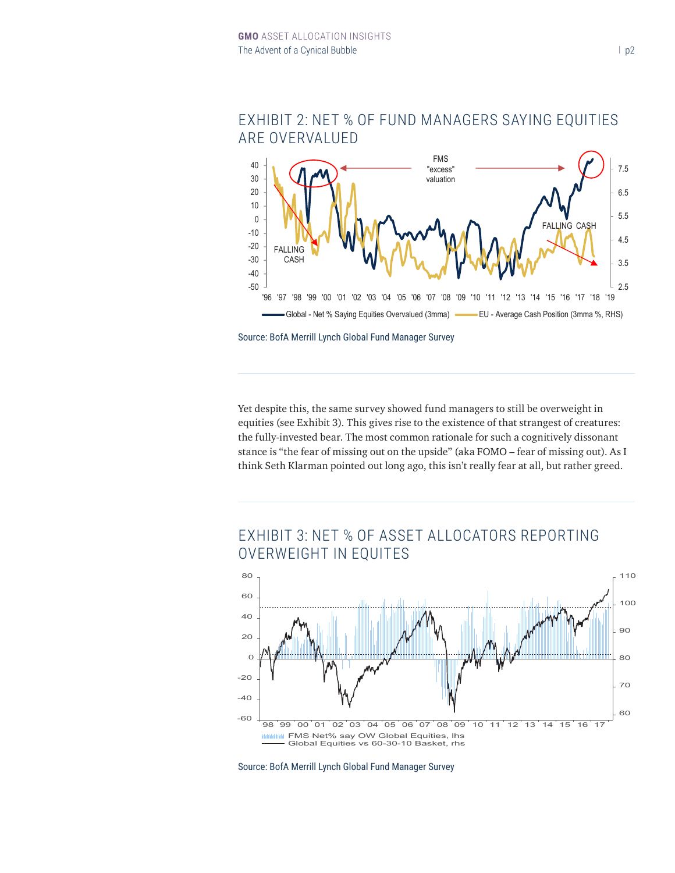

#### EXHIBIT 2: NET % OF FUND MANAGERS SAYING EQUITIES ARE OVERVALUED GARE COVERVALUED **CHARTS OF THE MONEY OF THE MONEY**  $E(X)$  Find  $E(X)$  is the correction of  $E(X)$

Source: BofA Merrill Lynch Global Fund Manager Survey Source: BofA Merrill Lynch Global Fund Manager Survey.

Yet despite this, the same survey showed fund managers to still be overweight in equities (see Exhibit 3). This gives rise to the existence of that strangest of creatures: the fully-invested bear. The most common rationale for such a cognitively dissonant stance is "the fear of missing out on the upside" (aka FOMO - fear of missing out). As I think Seth Klarman pointed out long ago, this isn't really fear at all, but rather greed.<br>'

# **EXHIBIT 3: NET % OF ASSET ALLOCATORS REPORTING** OVERWEIGHT IN EQUITES



Source: BofA Merrill Lynch Global Fund Manager Survey  $G$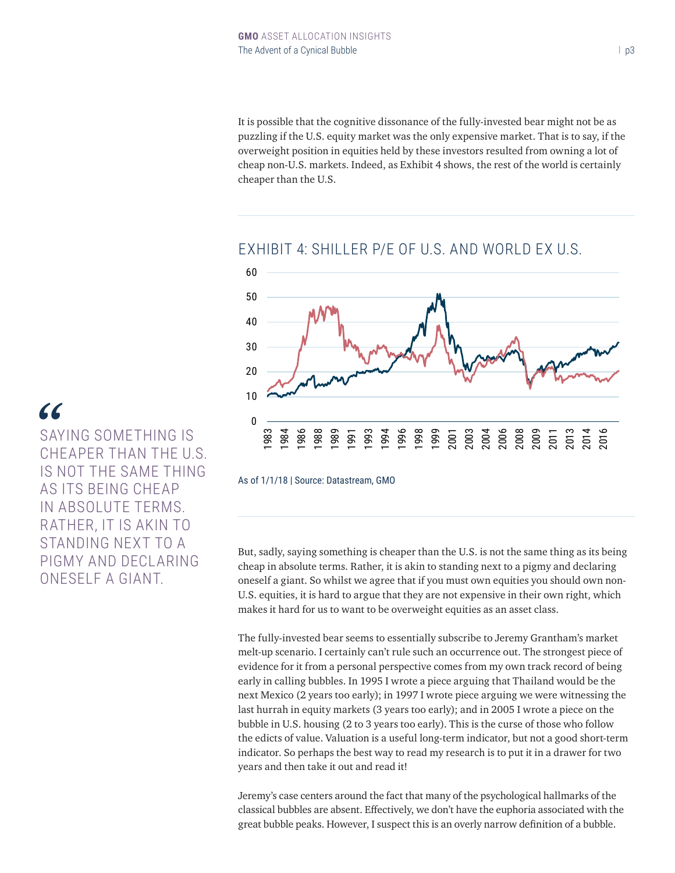It is possible that the cognitive dissonance of the fully-invested bear might not be as puzzling if the U.S. equity market was the only expensive market. That is to say, if the overweight position in equities held by these investors resulted from owning a lot of cheap non-U.S. markets. Indeed, as Exhibit 4 shows, the rest of the world is certainly cheaper than the U.S.



#### EXHIBIT 4: SHILLER P/E OF U.S. AND WORLD EX U.S.

As of 1/1/18 | Source: Datastream, GMO

But, sadly, saying something is cheaper than the U.S. is not the same thing as its being cheap in absolute terms. Rather, it is akin to standing next to a pigmy and declaring oneself a giant. So whilst we agree that if you must own equities you should own non-U.S. equities, it is hard to argue that they are not expensive in their own right, which makes it hard for us to want to be overweight equities as an asset class.

The fully-invested bear seems to essentially subscribe to Jeremy Grantham's market melt-up scenario. I certainly can't rule such an occurrence out. The strongest piece of evidence for it from a personal perspective comes from my own track record of being early in calling bubbles. In 1995 I wrote a piece arguing that Thailand would be the next Mexico (2 years too early); in 1997 I wrote piece arguing we were witnessing the last hurrah in equity markets (3 years too early); and in 2005 I wrote a piece on the bubble in U.S. housing (2 to 3 years too early). This is the curse of those who follow the edicts of value. Valuation is a useful long-term indicator, but not a good short-term indicator. So perhaps the best way to read my research is to put it in a drawer for two years and then take it out and read it!

Jeremy's case centers around the fact that many of the psychological hallmarks of the classical bubbles are absent. Effectively, we don't have the euphoria associated with the great bubble peaks. However, I suspect this is an overly narrow definition of a bubble.

SAYING SOMETHING IS CHEAPER THAN THE U.S. IS NOT THE SAME THING AS ITS BEING CHEAP IN ABSOLUTE TERMS. RATHER, IT IS AKIN TO STANDING NEXT TO A PIGMY AND DECLARING ONESELF A GIANT. *"*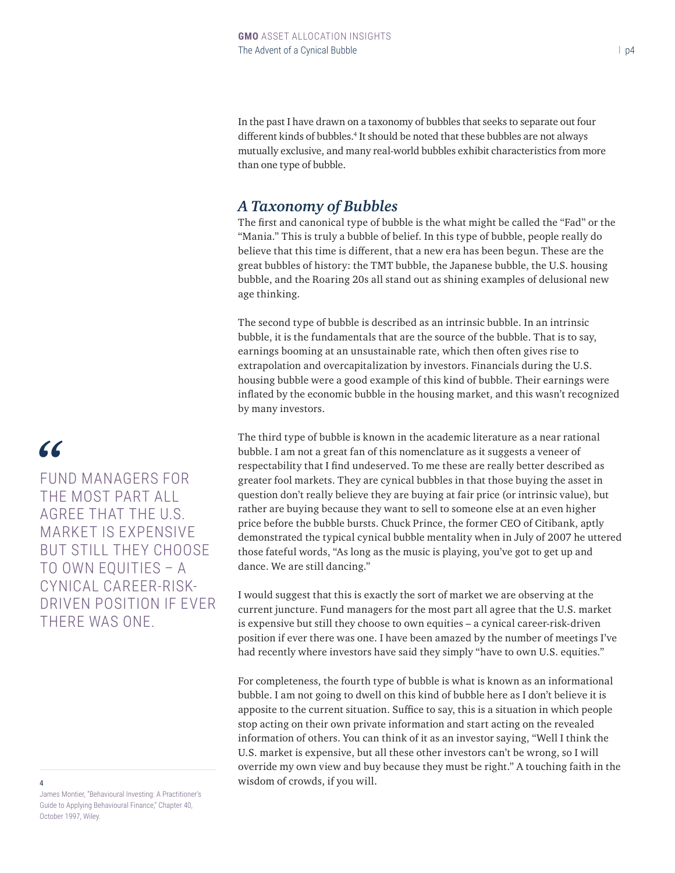In the past I have drawn on a taxonomy of bubbles that seeks to separate out four different kinds of bubbles.<sup>4</sup> It should be noted that these bubbles are not always mutually exclusive, and many real-world bubbles exhibit characteristics from more than one type of bubble.

### *A Taxonomy of Bubbles*

The first and canonical type of bubble is the what might be called the "Fad" or the "Mania." This is truly a bubble of belief. In this type of bubble, people really do believe that this time is different, that a new era has been begun. These are the great bubbles of history: the TMT bubble, the Japanese bubble, the U.S. housing bubble, and the Roaring 20s all stand out as shining examples of delusional new age thinking.

The second type of bubble is described as an intrinsic bubble. In an intrinsic bubble, it is the fundamentals that are the source of the bubble. That is to say, earnings booming at an unsustainable rate, which then often gives rise to extrapolation and overcapitalization by investors. Financials during the U.S. housing bubble were a good example of this kind of bubble. Their earnings were inflated by the economic bubble in the housing market, and this wasn't recognized by many investors.

The third type of bubble is known in the academic literature as a near rational bubble. I am not a great fan of this nomenclature as it suggests a veneer of respectability that I find undeserved. To me these are really better described as greater fool markets. They are cynical bubbles in that those buying the asset in question don't really believe they are buying at fair price (or intrinsic value), but rather are buying because they want to sell to someone else at an even higher price before the bubble bursts. Chuck Prince, the former CEO of Citibank, aptly demonstrated the typical cynical bubble mentality when in July of 2007 he uttered those fateful words, "As long as the music is playing, you've got to get up and dance. We are still dancing."

I would suggest that this is exactly the sort of market we are observing at the current juncture. Fund managers for the most part all agree that the U.S. market is expensive but still they choose to own equities – a cynical career-risk-driven position if ever there was one. I have been amazed by the number of meetings I've had recently where investors have said they simply "have to own U.S. equities."

For completeness, the fourth type of bubble is what is known as an informational bubble. I am not going to dwell on this kind of bubble here as I don't believe it is apposite to the current situation. Suffice to say, this is a situation in which people stop acting on their own private information and start acting on the revealed information of others. You can think of it as an investor saying, "Well I think the U.S. market is expensive, but all these other investors can't be wrong, so I will override my own view and buy because they must be right." A touching faith in the 4 wisdom of crowds, if you will.

# *"*

FUND MANAGERS FOR THE MOST PART ALL AGREE THAT THE U.S. MARKET IS EXPENSIVE BUT STILL THEY CHOOSE TO OWN EQUITIES – A CYNICAL CAREER-RISK-DRIVEN POSITION IF EVER THERE WAS ONE.

James Montier, "Behavioural Investing: A Practitioner's Guide to Applying Behavioural Finance," Chapter 40, October 1997, Wiley.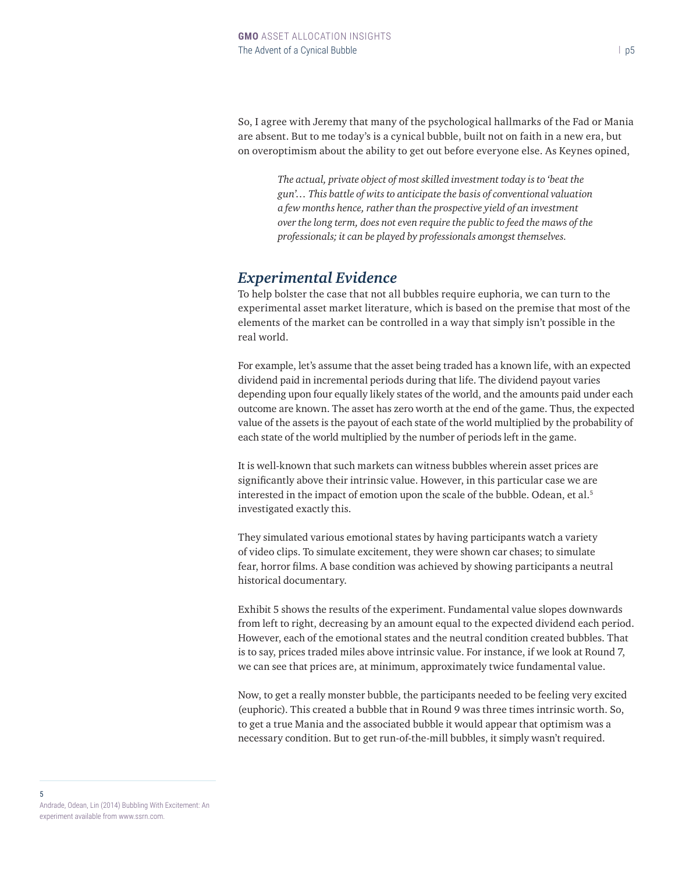So, I agree with Jeremy that many of the psychological hallmarks of the Fad or Mania are absent. But to me today's is a cynical bubble, built not on faith in a new era, but on overoptimism about the ability to get out before everyone else. As Keynes opined,

*The actual, private object of most skilled investment today is to 'beat the gun'… This battle of wits to anticipate the basis of conventional valuation a few months hence, rather than the prospective yield of an investment over the long term, does not even require the public to feed the maws of the professionals; it can be played by professionals amongst themselves.*

#### *Experimental Evidence*

To help bolster the case that not all bubbles require euphoria, we can turn to the experimental asset market literature, which is based on the premise that most of the elements of the market can be controlled in a way that simply isn't possible in the real world.

For example, let's assume that the asset being traded has a known life, with an expected dividend paid in incremental periods during that life. The dividend payout varies depending upon four equally likely states of the world, and the amounts paid under each outcome are known. The asset has zero worth at the end of the game. Thus, the expected value of the assets is the payout of each state of the world multiplied by the probability of each state of the world multiplied by the number of periods left in the game.

It is well-known that such markets can witness bubbles wherein asset prices are significantly above their intrinsic value. However, in this particular case we are interested in the impact of emotion upon the scale of the bubble. Odean, et al.<sup>5</sup> investigated exactly this.

They simulated various emotional states by having participants watch a variety of video clips. To simulate excitement, they were shown car chases; to simulate fear, horror films. A base condition was achieved by showing participants a neutral historical documentary.

Exhibit 5 shows the results of the experiment. Fundamental value slopes downwards from left to right, decreasing by an amount equal to the expected dividend each period. However, each of the emotional states and the neutral condition created bubbles. That is to say, prices traded miles above intrinsic value. For instance, if we look at Round 7, we can see that prices are, at minimum, approximately twice fundamental value.

Now, to get a really monster bubble, the participants needed to be feeling very excited (euphoric). This created a bubble that in Round 9 was three times intrinsic worth. So, to get a true Mania and the associated bubble it would appear that optimism was a necessary condition. But to get run-of-the-mill bubbles, it simply wasn't required.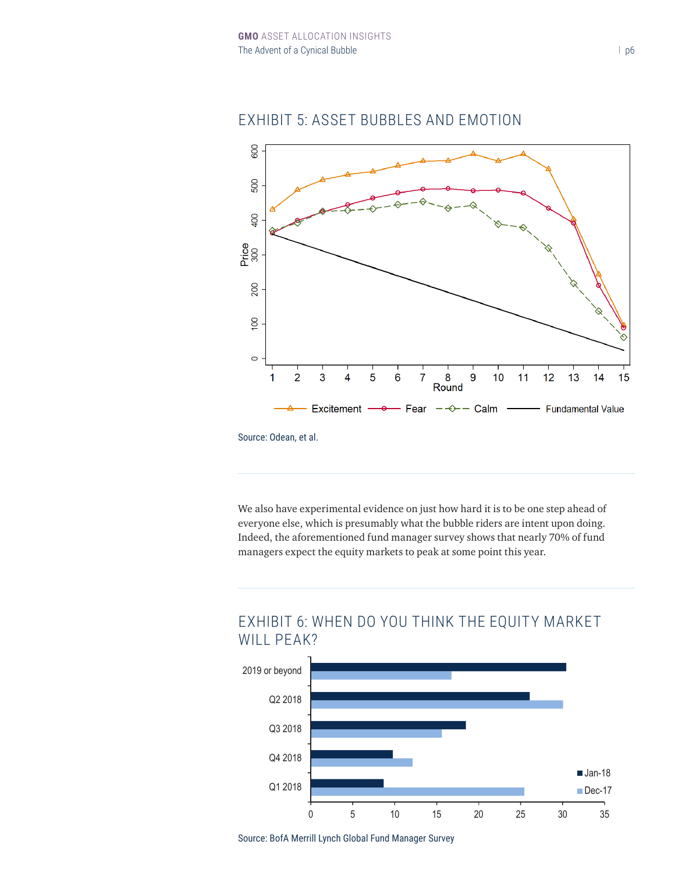

#### EXHIBIT 5: ASSET BUBBLES AND EMOTION

Source: Odean, et al.

We also have experimental evidence on just how hard it is to be one step ahead of everyone else, which is presumably what the bubble riders are intent upon doing. Indeed, the aforementioned fund manager survey shows that nearly 70% of fund managers expect the equity markets to peak at some point this year.



# **EXHIBIT 6: WHEN DO YOU THINK THE EQUITY MARKET** WILL PEAK?

Source: BofA Merrill Lynch Global Fund Manager Survey Source: BofA Merrill Lynch Global Fund Manager Survey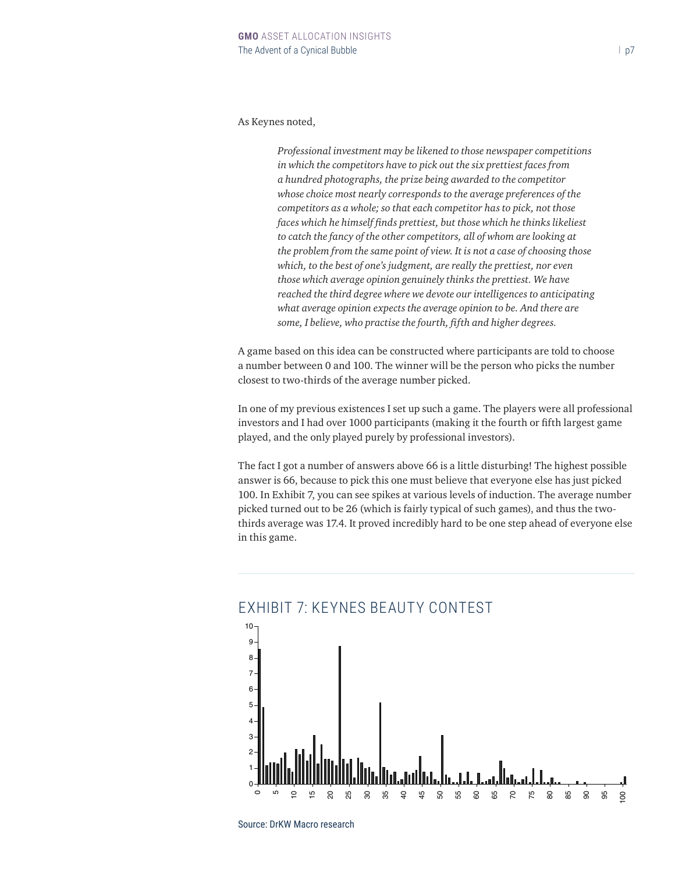#### As Keynes noted,

*Professional investment may be likened to those newspaper competitions in which the competitors have to pick out the six prettiest faces from a hundred photographs, the prize being awarded to the competitor whose choice most nearly corresponds to the average preferences of the competitors as a whole; so that each competitor has to pick, not those faces which he himself finds prettiest, but those which he thinks likeliest to catch the fancy of the other competitors, all of whom are looking at the problem from the same point of view. It is not a case of choosing those which, to the best of one's judgment, are really the prettiest, nor even those which average opinion genuinely thinks the prettiest. We have reached the third degree where we devote our intelligences to anticipating what average opinion expects the average opinion to be. And there are some, I believe, who practise the fourth, fifth and higher degrees.*

A game based on this idea can be constructed where participants are told to choose a number between 0 and 100. The winner will be the person who picks the number closest to two-thirds of the average number picked.

In one of my previous existences I set up such a game. The players were all professional investors and I had over 1000 participants (making it the fourth or fifth largest game played, and the only played purely by professional investors).

The fact I got a number of answers above 66 is a little disturbing! The highest possible answer is 66, because to pick this one must believe that everyone else has just picked 100. In Exhibit 7, you can see spikes at various levels of induction. The average number picked turned out to be 26 (which is fairly typical of such games), and thus the twothirds average was 17.4. It proved incredibly hard to be one step ahead of everyone else in this game.



#### EXHIBIT 7: KEYNES BEAUTY CONTEST

Source: DrKW Macro research Only 5% of the sample chose numbers above 67, in place 67, in place 67, in place 67, in the that the wave didn't understand that the wave didn't understand that the wave didn't understand the wave didn't understand the wav